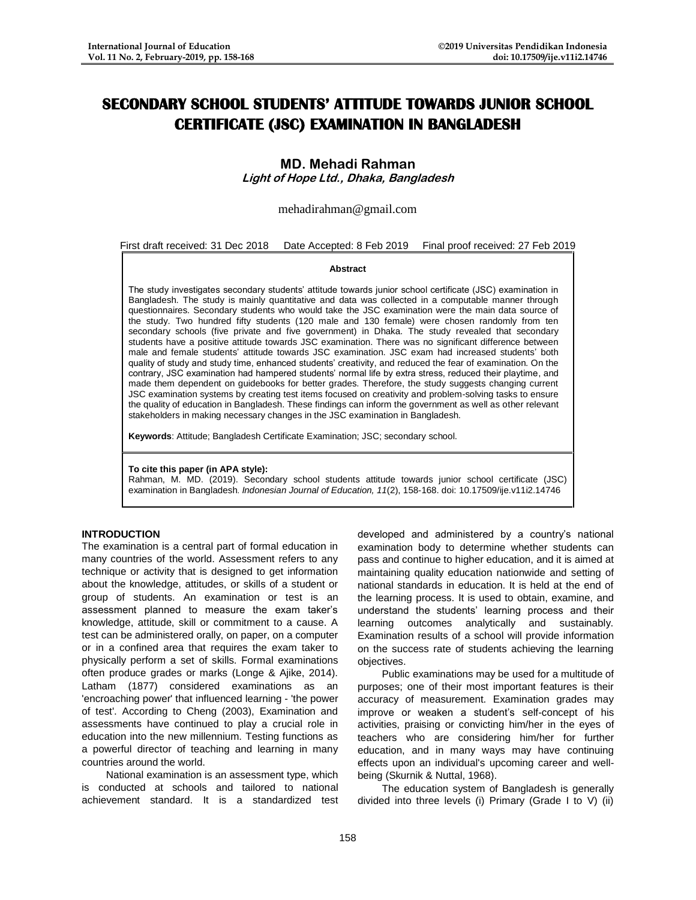## **SECONDARY SCHOOL STUDENTS' ATTITUDE TOWARDS JUNIOR SCHOOL CERTIFICATE (JSC) EXAMINATION IN BANGLADESH**

# **MD. Mehadi Rahman**

**Light of Hope Ltd., Dhaka, Bangladesh**

## mehadirahman@gmail.com

|  | First draft received: 31 Dec 2018 Date Accepted: 8 Feb 2019 Final proof received: 27 Feb 2019 |
|--|-----------------------------------------------------------------------------------------------|
|  |                                                                                               |

#### **Abstract**

The study investigates secondary students' attitude towards junior school certificate (JSC) examination in Bangladesh. The study is mainly quantitative and data was collected in a computable manner through questionnaires. Secondary students who would take the JSC examination were the main data source of the study. Two hundred fifty students (120 male and 130 female) were chosen randomly from ten secondary schools (five private and five government) in Dhaka. The study revealed that secondary students have a positive attitude towards JSC examination. There was no significant difference between male and female students' attitude towards JSC examination. JSC exam had increased students' both quality of study and study time, enhanced students' creativity, and reduced the fear of examination. On the contrary, JSC examination had hampered students' normal life by extra stress, reduced their playtime, and made them dependent on guidebooks for better grades. Therefore, the study suggests changing current JSC examination systems by creating test items focused on creativity and problem-solving tasks to ensure the quality of education in Bangladesh. These findings can inform the government as well as other relevant stakeholders in making necessary changes in the JSC examination in Bangladesh.

**Keywords**: Attitude; Bangladesh Certificate Examination; JSC; secondary school.

#### **To cite this paper (in APA style):**

Rahman, M. MD. (2019). Secondary school students attitude towards junior school certificate (JSC) examination in Bangladesh. *Indonesian Journal of Education, 11*(2), 158-168. doi: 10.17509/ije.v11i2.14746

### **INTRODUCTION**

The examination is a central part of formal education in many countries of the world. Assessment refers to any technique or activity that is designed to get information about the knowledge, attitudes, or skills of a student or group of students. An examination or test is an assessment planned to measure the exam taker's knowledge, attitude, skill or commitment to a cause. A test can be administered orally, on paper, on a computer or in a confined area that requires the exam taker to physically perform a set of skills. Formal examinations often produce grades or marks (Longe & Ajike, 2014). Latham (1877) considered examinations as an 'encroaching power' that influenced learning - 'the power of test'. According to Cheng (2003), Examination and assessments have continued to play a crucial role in education into the new millennium. Testing functions as a powerful director of teaching and learning in many countries around the world.

National examination is an assessment type, which is conducted at schools and tailored to national achievement standard. It is a standardized test developed and administered by a country's national examination body to determine whether students can pass and continue to higher education, and it is aimed at maintaining quality education nationwide and setting of national standards in education. It is held at the end of the learning process. It is used to obtain, examine, and understand the students' learning process and their learning outcomes analytically and sustainably. Examination results of a school will provide information on the success rate of students achieving the learning objectives.

Public examinations may be used for a multitude of purposes; one of their most important features is their accuracy of measurement. Examination grades may improve or weaken a student's self-concept of his activities, praising or convicting him/her in the eyes of teachers who are considering him/her for further education, and in many ways may have continuing effects upon an individual's upcoming career and wellbeing (Skurnik & Nuttal, 1968).

The education system of Bangladesh is generally divided into three levels (i) Primary (Grade I to V) (ii)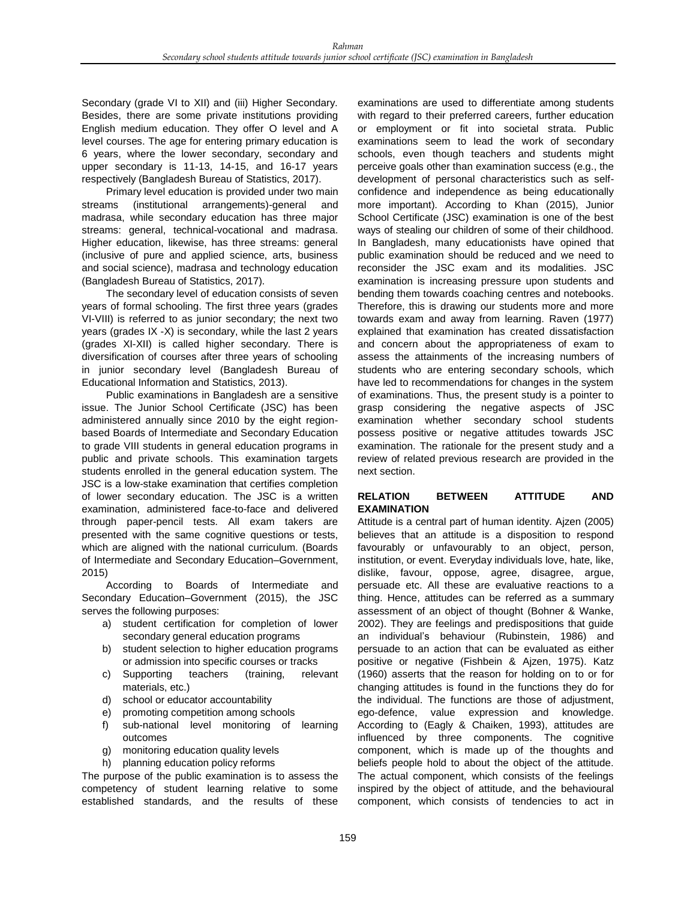Secondary (grade VI to XII) and (iii) Higher Secondary. Besides, there are some private institutions providing English medium education. They offer O level and A level courses. The age for entering primary education is 6 years, where the lower secondary, secondary and upper secondary is 11-13, 14-15, and 16-17 years respectively (Bangladesh Bureau of Statistics, 2017).

Primary level education is provided under two main streams (institutional arrangements)-general and madrasa, while secondary education has three major streams: general, technical-vocational and madrasa. Higher education, likewise, has three streams: general (inclusive of pure and applied science, arts, business and social science), madrasa and technology education (Bangladesh Bureau of Statistics, 2017).

The secondary level of education consists of seven years of formal schooling. The first three years (grades VI-VIII) is referred to as junior secondary; the next two years (grades IX -X) is secondary, while the last 2 years (grades XI-XII) is called higher secondary. There is diversification of courses after three years of schooling in junior secondary level (Bangladesh Bureau of Educational Information and Statistics, 2013).

Public examinations in Bangladesh are a sensitive issue. The Junior School Certificate (JSC) has been administered annually since 2010 by the eight regionbased Boards of Intermediate and Secondary Education to grade VIII students in general education programs in public and private schools. This examination targets students enrolled in the general education system. The JSC is a low-stake examination that certifies completion of lower secondary education. The JSC is a written examination, administered face-to-face and delivered through paper-pencil tests. All exam takers are presented with the same cognitive questions or tests, which are aligned with the national curriculum. (Boards of Intermediate and Secondary Education–Government, 2015)

According to Boards of Intermediate and Secondary Education–Government (2015), the JSC serves the following purposes:

- a) student certification for completion of lower secondary general education programs
- b) student selection to higher education programs or admission into specific courses or tracks
- c) Supporting teachers (training, relevant materials, etc.)
- d) school or educator accountability
- e) promoting competition among schools
- f) sub-national level monitoring of learning outcomes
- g) monitoring education quality levels
- h) planning education policy reforms

The purpose of the public examination is to assess the competency of student learning relative to some established standards, and the results of these

examinations are used to differentiate among students with regard to their preferred careers, further education or employment or fit into societal strata. Public examinations seem to lead the work of secondary schools, even though teachers and students might perceive goals other than examination success (e.g., the development of personal characteristics such as selfconfidence and independence as being educationally more important). According to Khan (2015), Junior School Certificate (JSC) examination is one of the best ways of stealing our children of some of their childhood. In Bangladesh, many educationists have opined that public examination should be reduced and we need to reconsider the JSC exam and its modalities. JSC examination is increasing pressure upon students and bending them towards coaching centres and notebooks. Therefore, this is drawing our students more and more towards exam and away from learning. Raven (1977) explained that examination has created dissatisfaction and concern about the appropriateness of exam to assess the attainments of the increasing numbers of students who are entering secondary schools, which have led to recommendations for changes in the system of examinations. Thus, the present study is a pointer to grasp considering the negative aspects of JSC examination whether secondary school students possess positive or negative attitudes towards JSC examination. The rationale for the present study and a review of related previous research are provided in the next section.

## **RELATION BETWEEN ATTITUDE AND EXAMINATION**

Attitude is a central part of human identity. Ajzen (2005) believes that an attitude is a disposition to respond favourably or unfavourably to an object, person, institution, or event. Everyday individuals love, hate, like, dislike, favour, oppose, agree, disagree, argue, persuade etc. All these are evaluative reactions to a thing. Hence, attitudes can be referred as a summary assessment of an object of thought (Bohner & Wanke, 2002). They are feelings and predispositions that guide an individual's behaviour (Rubinstein, 1986) and persuade to an action that can be evaluated as either positive or negative (Fishbein & Ajzen, 1975). Katz (1960) asserts that the reason for holding on to or for changing attitudes is found in the functions they do for the individual. The functions are those of adjustment, ego-defence, value expression and knowledge. According to (Eagly & Chaiken, 1993), attitudes are influenced by three components. The cognitive component, which is made up of the thoughts and beliefs people hold to about the object of the attitude. The actual component, which consists of the feelings inspired by the object of attitude, and the behavioural component, which consists of tendencies to act in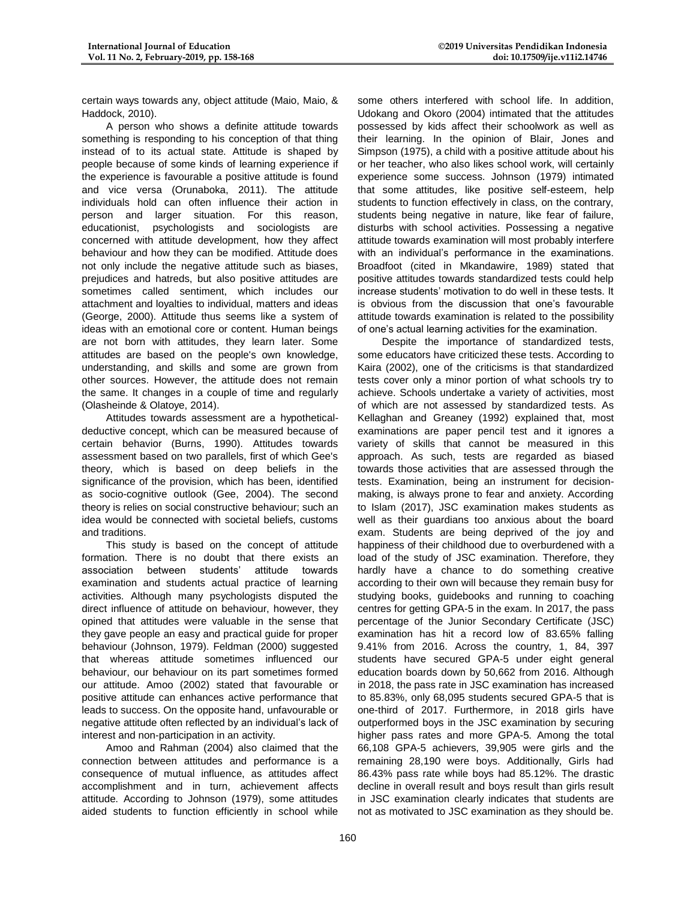certain ways towards any, object attitude (Maio, Maio, & Haddock, 2010).

A person who shows a definite attitude towards something is responding to his conception of that thing instead of to its actual state. Attitude is shaped by people because of some kinds of learning experience if the experience is favourable a positive attitude is found and vice versa (Orunaboka, 2011). The attitude individuals hold can often influence their action in person and larger situation. For this reason, educationist, psychologists and sociologists are concerned with attitude development, how they affect behaviour and how they can be modified. Attitude does not only include the negative attitude such as biases, prejudices and hatreds, but also positive attitudes are sometimes called sentiment, which includes our attachment and loyalties to individual, matters and ideas (George, 2000). Attitude thus seems like a system of ideas with an emotional core or content. Human beings are not born with attitudes, they learn later. Some attitudes are based on the people's own knowledge, understanding, and skills and some are grown from other sources. However, the attitude does not remain the same. It changes in a couple of time and regularly (Olasheinde & Olatoye, 2014).

Attitudes towards assessment are a hypotheticaldeductive concept, which can be measured because of certain behavior (Burns, 1990). Attitudes towards assessment based on two parallels, first of which Gee's theory, which is based on deep beliefs in the significance of the provision, which has been, identified as socio-cognitive outlook (Gee, 2004). The second theory is relies on social constructive behaviour; such an idea would be connected with societal beliefs, customs and traditions.

This study is based on the concept of attitude formation. There is no doubt that there exists an association between students' attitude towards examination and students actual practice of learning activities. Although many psychologists disputed the direct influence of attitude on behaviour, however, they opined that attitudes were valuable in the sense that they gave people an easy and practical guide for proper behaviour (Johnson, 1979). Feldman (2000) suggested that whereas attitude sometimes influenced our behaviour, our behaviour on its part sometimes formed our attitude. Amoo (2002) stated that favourable or positive attitude can enhances active performance that leads to success. On the opposite hand, unfavourable or negative attitude often reflected by an individual's lack of interest and non-participation in an activity.

Amoo and Rahman (2004) also claimed that the connection between attitudes and performance is a consequence of mutual influence, as attitudes affect accomplishment and in turn, achievement affects attitude. According to Johnson (1979), some attitudes aided students to function efficiently in school while

some others interfered with school life. In addition, Udokang and Okoro (2004) intimated that the attitudes possessed by kids affect their schoolwork as well as their learning. In the opinion of Blair, Jones and Simpson (1975), a child with a positive attitude about his or her teacher, who also likes school work, will certainly experience some success. Johnson (1979) intimated that some attitudes, like positive self-esteem, help students to function effectively in class, on the contrary, students being negative in nature, like fear of failure, disturbs with school activities. Possessing a negative attitude towards examination will most probably interfere with an individual's performance in the examinations. Broadfoot (cited in Mkandawire, 1989) stated that positive attitudes towards standardized tests could help increase students' motivation to do well in these tests. It is obvious from the discussion that one's favourable attitude towards examination is related to the possibility of one's actual learning activities for the examination.

Despite the importance of standardized tests, some educators have criticized these tests. According to Kaira (2002), one of the criticisms is that standardized tests cover only a minor portion of what schools try to achieve. Schools undertake a variety of activities, most of which are not assessed by standardized tests. As Kellaghan and Greaney (1992) explained that, most examinations are paper pencil test and it ignores a variety of skills that cannot be measured in this approach. As such, tests are regarded as biased towards those activities that are assessed through the tests. Examination, being an instrument for decisionmaking, is always prone to fear and anxiety. According to Islam (2017), JSC examination makes students as well as their guardians too anxious about the board exam. Students are being deprived of the joy and happiness of their childhood due to overburdened with a load of the study of JSC examination. Therefore, they hardly have a chance to do something creative according to their own will because they remain busy for studying books, guidebooks and running to coaching centres for getting GPA-5 in the exam. In 2017, the pass percentage of the Junior Secondary Certificate (JSC) examination has hit a record low of 83.65% falling 9.41% from 2016. Across the country, 1, 84, 397 students have secured GPA-5 under eight general education boards down by 50,662 from 2016. Although in 2018, the pass rate in JSC examination has increased to 85.83%, only 68,095 students secured GPA-5 that is one-third of 2017. Furthermore, in 2018 girls have outperformed boys in the JSC examination by securing higher pass rates and more GPA-5. Among the total 66,108 GPA-5 achievers, 39,905 were girls and the remaining 28,190 were boys. Additionally, Girls had 86.43% pass rate while boys had 85.12%. The drastic decline in overall result and boys result than girls result in JSC examination clearly indicates that students are not as motivated to JSC examination as they should be.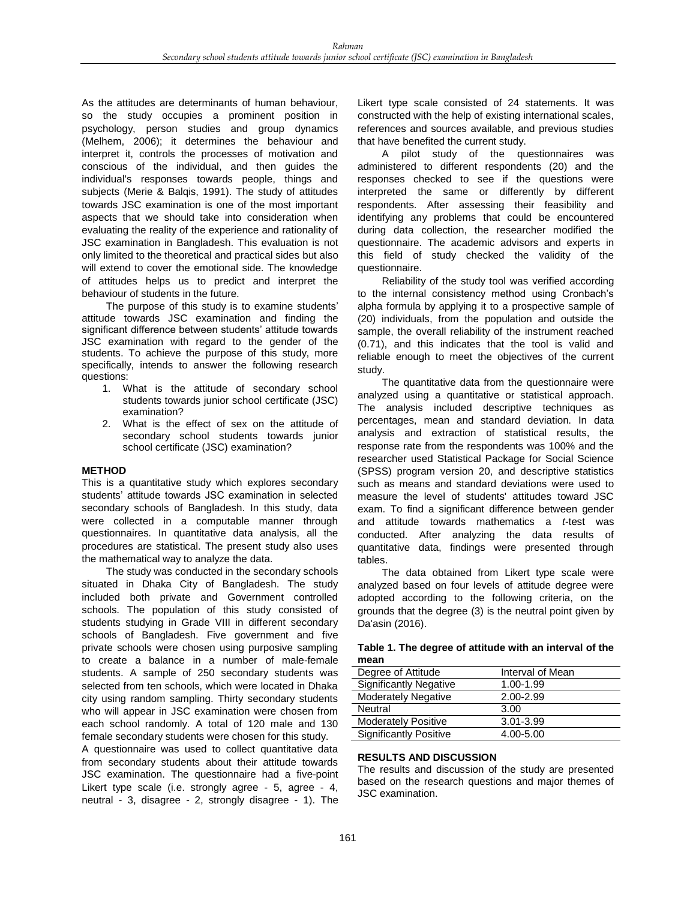As the attitudes are determinants of human behaviour, so the study occupies a prominent position in psychology, person studies and group dynamics (Melhem, 2006); it determines the behaviour and interpret it, controls the processes of motivation and conscious of the individual, and then guides the individual's responses towards people, things and subjects (Merie & Balqis, 1991). The study of attitudes towards JSC examination is one of the most important aspects that we should take into consideration when evaluating the reality of the experience and rationality of JSC examination in Bangladesh. This evaluation is not only limited to the theoretical and practical sides but also will extend to cover the emotional side. The knowledge of attitudes helps us to predict and interpret the behaviour of students in the future.

The purpose of this study is to examine students' attitude towards JSC examination and finding the significant difference between students' attitude towards JSC examination with regard to the gender of the students. To achieve the purpose of this study, more specifically, intends to answer the following research questions:

- 1. What is the attitude of secondary school students towards junior school certificate (JSC) examination?
- 2. What is the effect of sex on the attitude of secondary school students towards junior school certificate (JSC) examination?

## **METHOD**

This is a quantitative study which explores secondary students' attitude towards JSC examination in selected secondary schools of Bangladesh. In this study, data were collected in a computable manner through questionnaires. In quantitative data analysis, all the procedures are statistical. The present study also uses the mathematical way to analyze the data.

The study was conducted in the secondary schools situated in Dhaka City of Bangladesh. The study included both private and Government controlled schools. The population of this study consisted of students studying in Grade VIII in different secondary schools of Bangladesh. Five government and five private schools were chosen using purposive sampling to create a balance in a number of male-female students. A sample of 250 secondary students was selected from ten schools, which were located in Dhaka city using random sampling. Thirty secondary students who will appear in JSC examination were chosen from each school randomly. A total of 120 male and 130 female secondary students were chosen for this study.

A questionnaire was used to collect quantitative data from secondary students about their attitude towards JSC examination. The questionnaire had a five-point Likert type scale (i.e. strongly agree - 5, agree - 4, neutral - 3, disagree - 2, strongly disagree - 1). The Likert type scale consisted of 24 statements. It was constructed with the help of existing international scales, references and sources available, and previous studies that have benefited the current study.

A pilot study of the questionnaires was administered to different respondents (20) and the responses checked to see if the questions were interpreted the same or differently by different respondents. After assessing their feasibility and identifying any problems that could be encountered during data collection, the researcher modified the questionnaire. The academic advisors and experts in this field of study checked the validity of the questionnaire.

Reliability of the study tool was verified according to the internal consistency method using Cronbach's alpha formula by applying it to a prospective sample of (20) individuals, from the population and outside the sample, the overall reliability of the instrument reached (0.71), and this indicates that the tool is valid and reliable enough to meet the objectives of the current study.

The quantitative data from the questionnaire were analyzed using a quantitative or statistical approach. The analysis included descriptive techniques as percentages, mean and standard deviation. In data analysis and extraction of statistical results, the response rate from the respondents was 100% and the researcher used Statistical Package for Social Science (SPSS) program version 20, and descriptive statistics such as means and standard deviations were used to measure the level of students' attitudes toward JSC exam. To find a significant difference between gender and attitude towards mathematics a *t*-test was conducted. After analyzing the data results of quantitative data, findings were presented through tables.

The data obtained from Likert type scale were analyzed based on four levels of attitude degree were adopted according to the following criteria, on the grounds that the degree (3) is the neutral point given by Da'asin (2016).

| Table 1. The degree of attitude with an interval of the |  |
|---------------------------------------------------------|--|
| mean                                                    |  |

| Degree of Attitude            | Interval of Mean |
|-------------------------------|------------------|
| <b>Significantly Negative</b> | 1.00-1.99        |
| <b>Moderately Negative</b>    | 2.00-2.99        |
| Neutral                       | 3.00             |
| <b>Moderately Positive</b>    | $3.01 - 3.99$    |
| Significantly Positive        | 4.00-5.00        |

## **RESULTS AND DISCUSSION**

The results and discussion of the study are presented based on the research questions and major themes of JSC examination.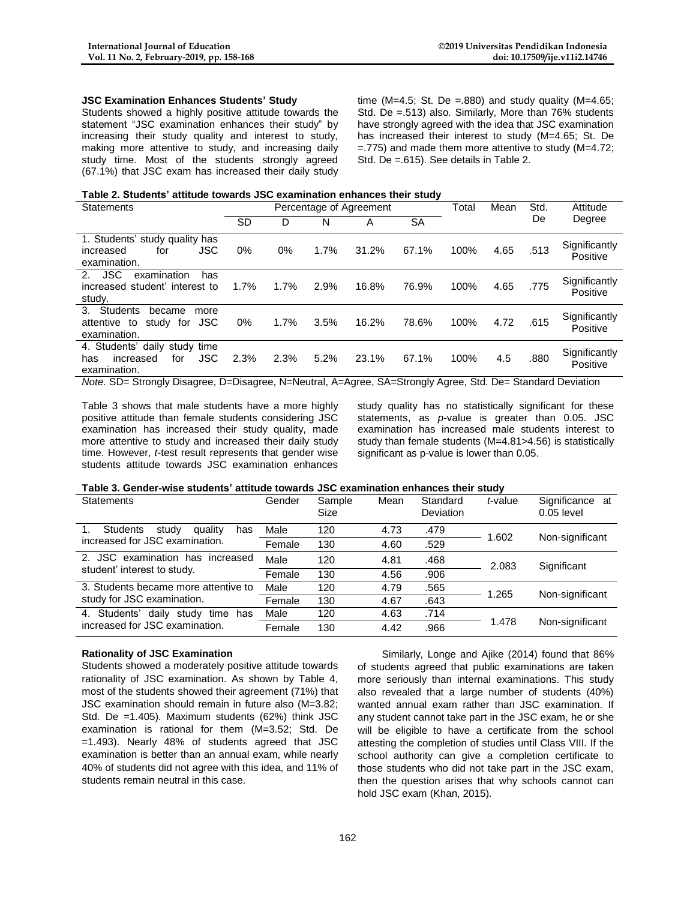#### **JSC Examination Enhances Students' Study**

Students showed a highly positive attitude towards the statement "JSC examination enhances their study" by increasing their study quality and interest to study, making more attentive to study, and increasing daily study time. Most of the students strongly agreed (67.1%) that JSC exam has increased their daily study time (M=4.5; St. De =.880) and study quality (M=4.65; Std. De =.513) also. Similarly, More than 76% students have strongly agreed with the idea that JSC examination has increased their interest to study (M=4.65; St. De  $=$ .775) and made them more attentive to study (M=4.72; Std. De =.615). See details in Table 2.

#### **Table 2. Students' attitude towards JSC examination enhances their study**

| Statements                                                                                                            |           |      |      | Percentage of Agreement |       | Total | Mean | Std. | Attitude                  |
|-----------------------------------------------------------------------------------------------------------------------|-----------|------|------|-------------------------|-------|-------|------|------|---------------------------|
|                                                                                                                       | <b>SD</b> | D    | N    | Α                       | SA    |       |      | De   | Degree                    |
| 1. Students' study quality has<br>JSC<br>increased<br>for<br>examination.                                             | $0\%$     | 0%   | 1.7% | 31.2%                   | 67.1% | 100%  | 4.65 | .513 | Significantly<br>Positive |
| <b>JSC</b><br>$\mathcal{P}$<br>examination<br>has<br>increased student' interest to<br>study.                         | 1.7%      | 1.7% | 2.9% | 16.8%                   | 76.9% | 100%  | 4.65 | .775 | Significantly<br>Positive |
| <b>Students</b><br>$3_{-}$<br>became<br>more<br>JSC<br>attentive to<br>study for<br>examination.                      | 0%        | 1.7% | 3.5% | 16.2%                   | 78.6% | 100%  | 4.72 | .615 | Significantly<br>Positive |
| 4. Students' daily study time<br><b>JSC</b><br>increased<br>for<br>has<br>examination.                                | 2.3%      | 2.3% | 5.2% | 23.1%                   | 67.1% | 100%  | 4.5  | .880 | Significantly<br>Positive |
| Alete OD, Othersche Discovers, D. Discovers, M. Marttoll, A. Annas, O.A. Othersche Annas, Other Discovered Davidstrat |           |      |      |                         |       |       |      |      |                           |

*Note.* SD= Strongly Disagree, D=Disagree, N=Neutral, A=Agree, SA=Strongly Agree, Std. De= Standard Deviation

Table 3 shows that male students have a more highly positive attitude than female students considering JSC examination has increased their study quality, made more attentive to study and increased their daily study time. However, *t*-test result represents that gender wise students attitude towards JSC examination enhances study quality has no statistically significant for these statements, as *p*-value is greater than 0.05. JSC examination has increased male students interest to study than female students (M=4.81>4.56) is statistically significant as p-value is lower than 0.05.

#### **Table 3. Gender-wise students' attitude towards JSC examination enhances their study**

| <b>Statements</b>                          | Gender | Sample<br>Size | Mean | Standard<br>Deviation | t-value | Significance at<br>$0.05$ level |  |
|--------------------------------------------|--------|----------------|------|-----------------------|---------|---------------------------------|--|
| <b>Students</b><br>study<br>quality<br>has | Male   | 120            | 4.73 | .479                  | 1.602   | Non-significant                 |  |
| increased for JSC examination.             | Female | 130            | 4.60 | .529                  |         |                                 |  |
| JSC examination has increased<br>2.        | Male   | 120            | 4.81 | .468                  | 2.083   | Significant                     |  |
| student' interest to study.                | Female | 130            | 4.56 | .906                  |         |                                 |  |
| 3. Students became more attentive to       | Male   | 120            | 4.79 | .565                  | 1.265   | Non-significant                 |  |
| study for JSC examination.                 | Female | 130            | 4.67 | .643                  |         |                                 |  |
| Students'<br>study time has<br>4.<br>daily | Male   | 120            | 4.63 | .714                  |         |                                 |  |
| increased for JSC examination.             | Female | 130            | 4.42 | .966                  | 1.478   | Non-significant                 |  |

#### **Rationality of JSC Examination**

Students showed a moderately positive attitude towards rationality of JSC examination. As shown by Table 4, most of the students showed their agreement (71%) that JSC examination should remain in future also (M=3.82; Std. De =1.405). Maximum students (62%) think JSC examination is rational for them (M=3.52; Std. De =1.493). Nearly 48% of students agreed that JSC examination is better than an annual exam, while nearly 40% of students did not agree with this idea, and 11% of students remain neutral in this case.

Similarly, Longe and Ajike (2014) found that 86% of students agreed that public examinations are taken more seriously than internal examinations. This study also revealed that a large number of students (40%) wanted annual exam rather than JSC examination. If any student cannot take part in the JSC exam, he or she will be eligible to have a certificate from the school attesting the completion of studies until Class VIII. If the school authority can give a completion certificate to those students who did not take part in the JSC exam, then the question arises that why schools cannot can hold JSC exam (Khan, 2015).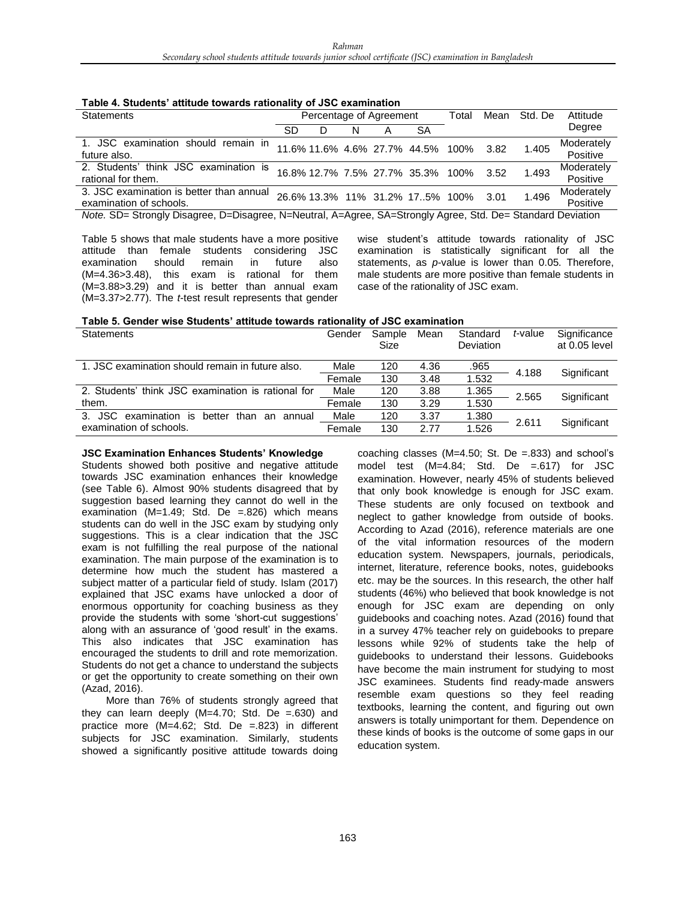| Table 4. Students' attitude towards rationality of JSC examination |  |  |  |
|--------------------------------------------------------------------|--|--|--|
|--------------------------------------------------------------------|--|--|--|

| Statements                                                                                                  |    |   |   | Percentage of Agreement |                                   | Total | Mean | Std. De | Attitude               |  |
|-------------------------------------------------------------------------------------------------------------|----|---|---|-------------------------|-----------------------------------|-------|------|---------|------------------------|--|
|                                                                                                             | SD | D | N |                         | <b>SA</b>                         |       |      |         | Degree                 |  |
| 1. JSC examination should remain in<br>future also.                                                         |    |   |   |                         | 11.6% 11.6% 4.6% 27.7% 44.5% 100% |       | 3.82 | 1.405   | Moderately<br>Positive |  |
| 2. Students' think JSC examination is<br>rational for them.                                                 |    |   |   |                         | 16.8% 12.7% 7.5% 27.7% 35.3% 100% |       | 3.52 | 1.493   | Moderately<br>Positive |  |
| 3. JSC examination is better than annual<br>examination of schools.                                         |    |   |   |                         | 26.6% 13.3% 11% 31.2% 175% 100%   |       | 3.01 | 1.496   | Moderately<br>Positive |  |
| Note. SD= Strongly Disagree, D=Disagree, N=Neutral, A=Agree, SA=Strongly Agree, Std. De= Standard Deviation |    |   |   |                         |                                   |       |      |         |                        |  |

Table 5 shows that male students have a more positive attitude than female students considering JSC examination should remain in future also (M=4.36>3.48), this exam is rational for them (M=3.88>3.29) and it is better than annual exam (M=3.37>2.77). The *t*-test result represents that gender wise student's attitude towards rationality of JSC examination is statistically significant for all the statements, as *p*-value is lower than 0.05. Therefore, male students are more positive than female students in case of the rationality of JSC exam.

| Table 5. Gender wise Students' attitude towards rationality of JSC examination |
|--------------------------------------------------------------------------------|
|--------------------------------------------------------------------------------|

| <b>Statements</b>                                             | Gender | Sample<br>Size | Mean | Standard<br><b>Deviation</b> | t-value | Significance<br>at 0.05 level |  |
|---------------------------------------------------------------|--------|----------------|------|------------------------------|---------|-------------------------------|--|
| 1. JSC examination should remain in future also.              | Male   | 120            | 4.36 | .965                         | 4.188   | Significant                   |  |
|                                                               | Female | 130            | 3.48 | 1.532                        |         |                               |  |
| 2. Students' think JSC examination is rational for            | Male   | 120            | 3.88 | 1.365                        | 2.565   |                               |  |
| them.                                                         | Female | 130            | 3.29 | 1.530                        |         | Significant                   |  |
| 3. JSC<br>examination<br>better<br>is<br>than<br>annual<br>an | Male   | 120            | 3.37 | 1.380                        |         |                               |  |
| examination of schools.                                       | Female | 130            | 2.77 | 1.526                        | 2.611   | Significant                   |  |

#### **JSC Examination Enhances Students' Knowledge**

Students showed both positive and negative attitude towards JSC examination enhances their knowledge (see Table 6). Almost 90% students disagreed that by suggestion based learning they cannot do well in the examination (M=1.49; Std. De =.826) which means students can do well in the JSC exam by studying only suggestions. This is a clear indication that the JSC exam is not fulfilling the real purpose of the national examination. The main purpose of the examination is to determine how much the student has mastered a subject matter of a particular field of study. Islam (2017) explained that JSC exams have unlocked a door of enormous opportunity for coaching business as they provide the students with some 'short-cut suggestions' along with an assurance of 'good result' in the exams. This also indicates that JSC examination has encouraged the students to drill and rote memorization. Students do not get a chance to understand the subjects or get the opportunity to create something on their own (Azad, 2016).

More than 76% of students strongly agreed that they can learn deeply  $(M=4.70;$  Std. De =.630) and practice more (M=4.62; Std. De =.823) in different subjects for JSC examination. Similarly, students showed a significantly positive attitude towards doing

coaching classes (M=4.50; St. De =.833) and school's model test (M=4.84; Std. De =.617) for JSC examination. However, nearly 45% of students believed that only book knowledge is enough for JSC exam. These students are only focused on textbook and neglect to gather knowledge from outside of books. According to Azad (2016), reference materials are one of the vital information resources of the modern education system. Newspapers, journals, periodicals, internet, literature, reference books, notes, guidebooks etc. may be the sources. In this research, the other half students (46%) who believed that book knowledge is not enough for JSC exam are depending on only guidebooks and coaching notes. Azad (2016) found that in a survey 47% teacher rely on guidebooks to prepare lessons while 92% of students take the help of guidebooks to understand their lessons. Guidebooks have become the main instrument for studying to most JSC examinees. Students find ready-made answers resemble exam questions so they feel reading textbooks, learning the content, and figuring out own answers is totally unimportant for them. Dependence on these kinds of books is the outcome of some gaps in our education system.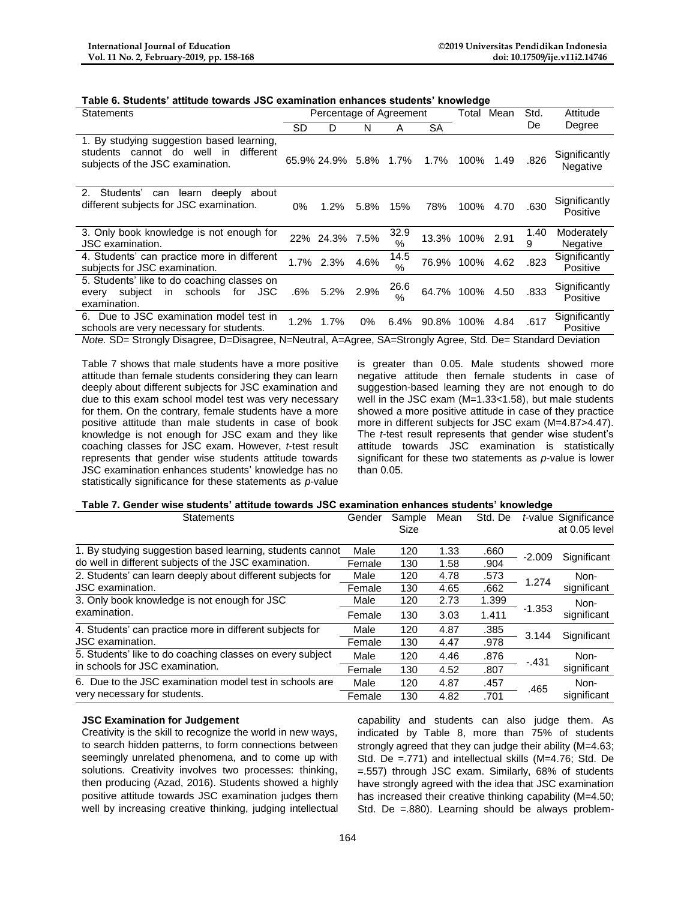| Table 6. Students' attitude towards JSC examination enhances students' knowledge |  |
|----------------------------------------------------------------------------------|--|
|----------------------------------------------------------------------------------|--|

| Statements                                                                                                                     |      | Percentage of Agreement |       |                       |       | Total     | Mean | Std.      | Attitude                      |
|--------------------------------------------------------------------------------------------------------------------------------|------|-------------------------|-------|-----------------------|-------|-----------|------|-----------|-------------------------------|
|                                                                                                                                | SD   | D                       | N     | A                     | SА    |           |      | De        | Degree                        |
| 1. By studying suggestion based learning,<br>different<br>well<br>students cannot do<br>in<br>subjects of the JSC examination. |      | 65.9% 24.9% 5.8% 1.7%   |       |                       | 1.7%  | 100%      | 1.49 | .826      | Significantly<br>Negative     |
| 2 <sup>1</sup><br>Students'<br>learn<br>deeply<br>about<br>can<br>different subjects for JSC examination.                      | 0%   | $1.2\%$                 | 5.8%  | 15%                   | 78%   | 100%      | 4.70 | .630      | Significantly<br>Positive     |
| 3. Only book knowledge is not enough for<br>JSC examination.                                                                   |      | 22% 24.3% 7.5%          |       | 32.9<br>$\%$          | 13.3% | 100% 2.91 |      | 1.40<br>9 | Moderately<br><b>Negative</b> |
| 4. Students' can practice more in different<br>subjects for JSC examination.                                                   |      | 1.7% 2.3%               | 4.6%  | 14.5<br>$\frac{0}{0}$ | 76.9% | 100%      | 4.62 | .823      | Significantly<br>Positive     |
| 5. Students' like to do coaching classes on<br><b>JSC</b><br>schools<br>subject<br>for<br>in<br>every<br>examination.          | .6%  | 5.2%                    | 2.9%  | 26.6<br>$\%$          | 64.7% | 100%      | 4.50 | .833      | Significantly<br>Positive     |
| 6. Due to JSC examination model test in<br>schools are very necessary for students.                                            | 1.2% | 1.7%                    | $0\%$ | 6.4%                  | 90.8% | 100%      | 4.84 | .617      | Significantly<br>Positive     |

*Note.* SD= Strongly Disagree, D=Disagree, N=Neutral, A=Agree, SA=Strongly Agree, Std. De= Standard Deviation

Table 7 shows that male students have a more positive attitude than female students considering they can learn deeply about different subjects for JSC examination and due to this exam school model test was very necessary for them. On the contrary, female students have a more positive attitude than male students in case of book knowledge is not enough for JSC exam and they like coaching classes for JSC exam. However, *t*-test result represents that gender wise students attitude towards JSC examination enhances students' knowledge has no statistically significance for these statements as *p*-value

is greater than 0.05. Male students showed more negative attitude then female students in case of suggestion-based learning they are not enough to do well in the JSC exam (M=1.33<1.58), but male students showed a more positive attitude in case of they practice more in different subjects for JSC exam (M=4.87>4.47). The *t*-test result represents that gender wise student's attitude towards JSC examination is statistically significant for these two statements as *p*-value is lower than 0.05.

#### **Table 7. Gender wise students' attitude towards JSC examination enhances students' knowledge**

| <b>Statements</b>                                          | Gender | Sample<br>Size | Mean | Std. De |          | t-value Significance<br>at 0.05 level |
|------------------------------------------------------------|--------|----------------|------|---------|----------|---------------------------------------|
| 1. By studying suggestion based learning, students cannot  | Male   | 120            | 1.33 | .660    | -2.009   | Significant                           |
| do well in different subjects of the JSC examination.      | Female | 130            | 1.58 | .904    |          |                                       |
| 2. Students' can learn deeply about different subjects for |        | 120            | 4.78 | .573    | 1.274    | Non-                                  |
| <b>JSC</b> examination.                                    | Female | 130            | 4.65 | .662    |          | significant                           |
| 3. Only book knowledge is not enough for JSC               | Male   | 120            | 2.73 | 1.399   | $-1.353$ | Non-<br>significant                   |
| examination.                                               | Female | 130            | 3.03 | 1.411   |          |                                       |
| 4. Students' can practice more in different subjects for   | Male   | 120            | 4.87 | .385    |          |                                       |
| <b>JSC</b> examination.                                    | Female | 130            | 4.47 | .978    | 3.144    | Significant                           |
| 5. Students' like to do coaching classes on every subject  | Male   | 120            | 4.46 | .876    | $-.431$  | Non-                                  |
| in schools for JSC examination.                            | Female | 130            | 4.52 | .807    |          | significant                           |
| 6. Due to the JSC examination model test in schools are    | Male   | 120            | 4.87 | .457    | .465     | Non-                                  |
| very necessary for students.                               | Female | 130            | 4.82 | .701    |          | significant                           |

#### **JSC Examination for Judgement**

Creativity is the skill to recognize the world in new ways, to search hidden patterns, to form connections between seemingly unrelated phenomena, and to come up with solutions. Creativity involves two processes: thinking, then producing (Azad, 2016). Students showed a highly positive attitude towards JSC examination judges them well by increasing creative thinking, judging intellectual

capability and students can also judge them. As indicated by Table 8, more than 75% of students strongly agreed that they can judge their ability (M=4.63; Std. De =.771) and intellectual skills (M=4.76; Std. De =.557) through JSC exam. Similarly, 68% of students have strongly agreed with the idea that JSC examination has increased their creative thinking capability (M=4.50; Std. De =.880). Learning should be always problem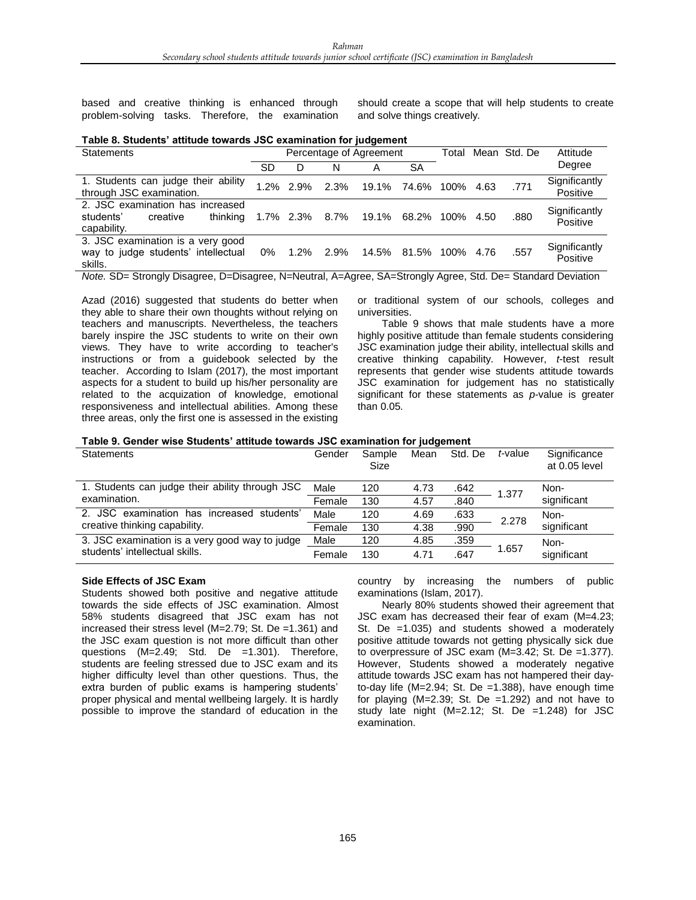based and creative thinking is enhanced through problem-solving tasks. Therefore, the examination should create a scope that will help students to create and solve things creatively.

|  |  | Table 8. Students' attitude towards JSC examination for judgement |  |
|--|--|-------------------------------------------------------------------|--|
|--|--|-------------------------------------------------------------------|--|

| <b>Statements</b>                                                                    | Percentage of Agreement |              |      |       | Total |      | Mean Std. De | Attitude |                           |
|--------------------------------------------------------------------------------------|-------------------------|--------------|------|-------|-------|------|--------------|----------|---------------------------|
|                                                                                      | SD                      | D            | N    | А     | SА    |      |              |          | Degree                    |
| 1. Students can judge their ability<br>through JSC examination.                      |                         | $1.2\%$ 2.9% | 2.3% | 19.1% | 74.6% | 100% | 4.63         | .771     | Significantly<br>Positive |
| 2. JSC examination has increased<br>thinking<br>students'<br>creative<br>capability. | 1.7% 2.3%               |              | 8.7% | 19.1% | 68.2% | 100% | 4.50         | .880     | Significantly<br>Positive |
| 3. JSC examination is a very good<br>way to judge students' intellectual<br>skills.  | 0%                      | $1.2\%$      | 2.9% | 14.5% | 81.5% | 100% | 4.76         | .557     | Significantly<br>Positive |

*Note.* SD= Strongly Disagree, D=Disagree, N=Neutral, A=Agree, SA=Strongly Agree, Std. De= Standard Deviation

Azad (2016) suggested that students do better when they able to share their own thoughts without relying on teachers and manuscripts. Nevertheless, the teachers barely inspire the JSC students to write on their own views. They have to write according to teacher's instructions or from a guidebook selected by the teacher. According to Islam (2017), the most important aspects for a student to build up his/her personality are related to the acquization of knowledge, emotional responsiveness and intellectual abilities. Among these three areas, only the first one is assessed in the existing

or traditional system of our schools, colleges and universities.

Table 9 shows that male students have a more highly positive attitude than female students considering JSC examination judge their ability, intellectual skills and creative thinking capability. However, *t*-test result represents that gender wise students attitude towards JSC examination for judgement has no statistically significant for these statements as *p*-value is greater than 0.05.

#### **Table 9. Gender wise Students' attitude towards JSC examination for judgement**

| <b>Statements</b>                               | Gender | Sample<br>Size | Mean | Std. De | t-value | Significance<br>at 0.05 level |
|-------------------------------------------------|--------|----------------|------|---------|---------|-------------------------------|
| 1. Students can judge their ability through JSC | Male   | 120            | 4.73 | .642    | 1.377   | Non-                          |
| examination.                                    | Female | 130            | 4.57 | .840    |         | significant                   |
| 2. JSC examination has increased students'      | Male   | 120            | 4.69 | .633    | 2.278   | Non-                          |
| creative thinking capability.                   | Female | 130            | 4.38 | .990    |         | significant                   |
| 3. JSC examination is a very good way to judge  | Male   | 120            | 4.85 | .359    |         | Non-                          |
| students' intellectual skills.                  | Female | 130            | 4.71 | 647     | 1.657   | significant                   |

## **Side Effects of JSC Exam**

Students showed both positive and negative attitude towards the side effects of JSC examination. Almost 58% students disagreed that JSC exam has not increased their stress level (M=2.79; St. De =1.361) and the JSC exam question is not more difficult than other questions (M=2.49; Std. De =1.301). Therefore, students are feeling stressed due to JSC exam and its higher difficulty level than other questions. Thus, the extra burden of public exams is hampering students' proper physical and mental wellbeing largely. It is hardly possible to improve the standard of education in the

country by increasing the numbers of public examinations (Islam, 2017).

Nearly 80% students showed their agreement that JSC exam has decreased their fear of exam (M=4.23; St. De =1.035) and students showed a moderately positive attitude towards not getting physically sick due to overpressure of JSC exam (M=3.42; St. De =1.377). However, Students showed a moderately negative attitude towards JSC exam has not hampered their dayto-day life  $(M=2.94; St. De = 1.388)$ , have enough time for playing  $(M=2.39; St. De =1.292)$  and not have to study late night (M=2.12; St. De =1.248) for JSC examination.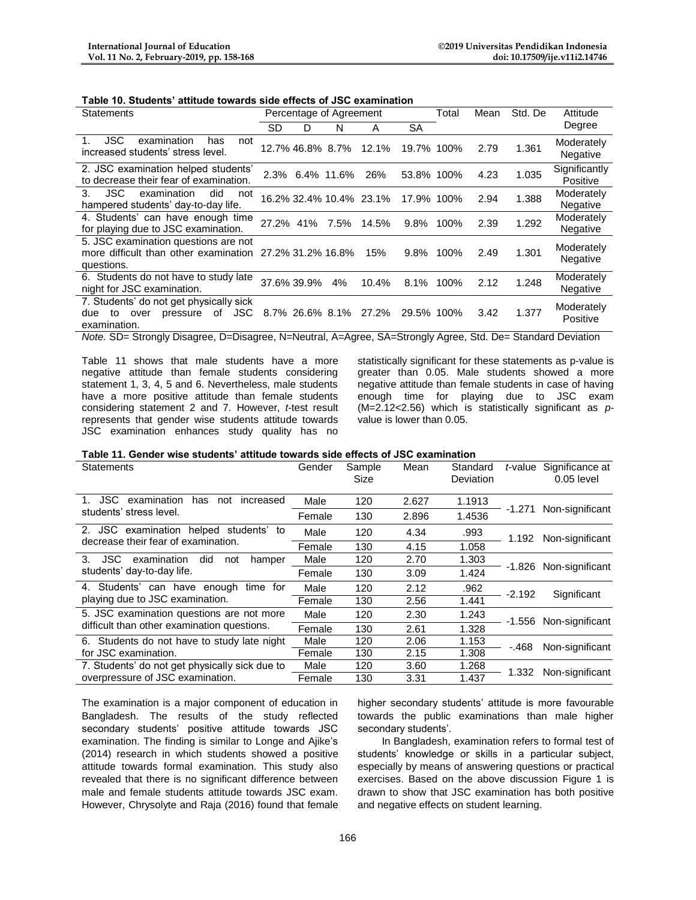|  | Table 10. Students' attitude towards side effects of JSC examination |  |  |  |  |  |
|--|----------------------------------------------------------------------|--|--|--|--|--|
|--|----------------------------------------------------------------------|--|--|--|--|--|

| Statements                                                                                            | Percentage of Agreement |      |       |            | Total | Mean | Std. De | Attitude                  |
|-------------------------------------------------------------------------------------------------------|-------------------------|------|-------|------------|-------|------|---------|---------------------------|
|                                                                                                       | SD<br>D                 | N    | A     | SA         |       |      |         | Degree                    |
| <b>JSC</b><br>examination<br>has<br>not<br>increased students' stress level.                          | 12.7% 46.8% 8.7%        |      | 12.1% | 19.7% 100% |       | 2.79 | 1.361   | Moderately<br>Negative    |
| 2. JSC examination helped students'<br>to decrease their fear of examination.                         | 2.3% 6.4% 11.6%         |      | 26%   | 53.8% 100% |       | 4.23 | 1.035   | Significantly<br>Positive |
| 3.<br>JSC.<br>examination<br>did<br>not<br>hampered students' day-to-day life.                        | 16.2% 32.4% 10.4% 23.1% |      |       | 17.9% 100% |       | 2.94 | 1.388   | Moderately<br>Negative    |
| 4. Students' can have enough time<br>for playing due to JSC examination.                              | 27.2% 41%               | 7.5% | 14.5% | 9.8%       | 100%  | 2.39 | 1.292   | Moderately<br>Negative    |
| 5. JSC examination questions are not<br>more difficult than other examination<br>questions.           | 27.2% 31.2% 16.8%       |      | 15%   | 9.8%       | 100%  | 2.49 | 1.301   | Moderately<br>Negative    |
| 6. Students do not have to study late<br>night for JSC examination.                                   | 37.6% 39.9%             | 4%   | 10.4% | 8.1%       | 100%  | 2.12 | 1.248   | Moderately<br>Negative    |
| 7. Students' do not get physically sick<br>JSC<br>οf<br>due<br>pressure<br>to<br>over<br>examination. | 8.7% 26.6% 8.1%         |      | 27.2% | 29.5% 100% |       | 3.42 | 1.377   | Moderately<br>Positive    |

*Note.* SD= Strongly Disagree, D=Disagree, N=Neutral, A=Agree, SA=Strongly Agree, Std. De= Standard Deviation

Table 11 shows that male students have a more negative attitude than female students considering statement 1, 3, 4, 5 and 6. Nevertheless, male students have a more positive attitude than female students considering statement 2 and 7. However, *t*-test result represents that gender wise students attitude towards JSC examination enhances study quality has no

statistically significant for these statements as p-value is greater than 0.05. Male students showed a more negative attitude than female students in case of having enough time for playing due to JSC exam (M=2.12<2.56) which is statistically significant as *p*value is lower than 0.05.

## **Table 11. Gender wise students' attitude towards side effects of JSC examination**

| Statements                                             | Gender | Sample<br>Size | Mean  | Standard<br>Deviation | t-value  | Significance at<br>$0.05$ level |
|--------------------------------------------------------|--------|----------------|-------|-----------------------|----------|---------------------------------|
| examination<br>JSC.<br>has<br>not<br>increased         | Male   | 120            | 2.627 | 1.1913                | -1.271   | Non-significant                 |
| students' stress level.                                | Female | 130            | 2.896 | 1.4536                |          |                                 |
| examination helped students'<br>2.<br>JSC.<br>to       | Male   | 120            | 4.34  | .993                  | 1.192    | Non-significant                 |
| decrease their fear of examination.                    | Female | 130            | 4.15  | 1.058                 |          |                                 |
| $3_{-}$<br>JSC.<br>examination<br>did<br>not<br>hamper | Male   | 120            | 2.70  | 1.303                 |          |                                 |
| students' day-to-day life.                             | Female | 130            | 3.09  | 1.424                 | -1.826   | Non-significant                 |
| Students' can have enough<br>time for                  | Male   | 120            | 2.12  | .962                  | $-2.192$ | Significant                     |
| playing due to JSC examination.                        | Female | 130            | 2.56  | 1.441                 |          |                                 |
| 5. JSC examination questions are not more              | Male   | 120            | 2.30  | 1.243                 | -1.556   | Non-significant                 |
| difficult than other examination questions.            | Female | 130            | 2.61  | 1.328                 |          |                                 |
| Students do not have to study late night<br>6.         | Male   | 120            | 2.06  | 1.153                 | -.468    | Non-significant                 |
| for JSC examination.                                   | Female | 130            | 2.15  | 1.308                 |          |                                 |
| 7. Students' do not get physically sick due to         | Male   | 120            | 3.60  | 1.268                 | 1.332    | Non-significant                 |
| overpressure of JSC examination.                       | Female | 130            | 3.31  | 1.437                 |          |                                 |

The examination is a major component of education in Bangladesh. The results of the study reflected secondary students' positive attitude towards JSC examination. The finding is similar to Longe and Ajike's (2014) research in which students showed a positive attitude towards formal examination. This study also revealed that there is no significant difference between male and female students attitude towards JSC exam. However, Chrysolyte and Raja (2016) found that female

higher secondary students' attitude is more favourable towards the public examinations than male higher secondary students'.

In Bangladesh, examination refers to formal test of students' knowledge or skills in a particular subject, especially by means of answering questions or practical exercises. Based on the above discussion Figure 1 is drawn to show that JSC examination has both positive and negative effects on student learning.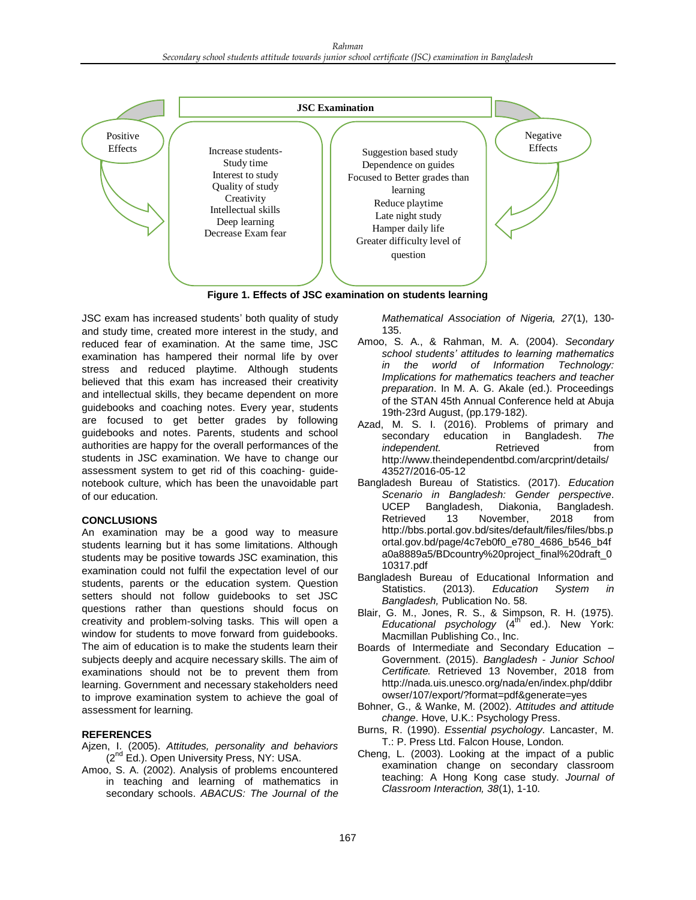



JSC exam has increased students' both quality of study and study time, created more interest in the study, and reduced fear of examination. At the same time, JSC examination has hampered their normal life by over stress and reduced playtime. Although students believed that this exam has increased their creativity and intellectual skills, they became dependent on more guidebooks and coaching notes. Every year, students are focused to get better grades by following guidebooks and notes. Parents, students and school authorities are happy for the overall performances of the students in JSC examination. We have to change our assessment system to get rid of this coaching- guidenotebook culture, which has been the unavoidable part of our education.

## **CONCLUSIONS**

An examination may be a good way to measure students learning but it has some limitations. Although students may be positive towards JSC examination, this examination could not fulfil the expectation level of our students, parents or the education system. Question setters should not follow guidebooks to set JSC questions rather than questions should focus on creativity and problem-solving tasks. This will open a window for students to move forward from guidebooks. The aim of education is to make the students learn their subjects deeply and acquire necessary skills. The aim of examinations should not be to prevent them from learning. Government and necessary stakeholders need to improve examination system to achieve the goal of assessment for learning.

## **REFERENCES**

- Ajzen, I. (2005). *Attitudes, personality and behaviors* (2<sup>nd</sup> Ed.). Open University Press, NY: USA.
- Amoo, S. A. (2002). Analysis of problems encountered in teaching and learning of mathematics in secondary schools. *ABACUS: The Journal of the*

*Mathematical Association of Nigeria, 27*(1), 130- 135.

- Amoo, S. A., & Rahman, M. A. (2004). *Secondary school students' attitudes to learning mathematics in the world of Information Technology: Implications for mathematics teachers and teacher preparation*. In M. A. G. Akale (ed.). Proceedings of the STAN 45th Annual Conference held at Abuja 19th-23rd August, (pp.179-182).
- Azad, M. S. I. (2016). Problems of primary and secondary education in Bangladesh. The secondary education in Bangladesh. *The independent.* Retrieved from http://www.theindependentbd.com/arcprint/details/ 43527/2016-05-12
- Bangladesh Bureau of Statistics. (2017). *Education Scenario in Bangladesh: Gender perspective*. UCEP Bangladesh, Diakonia, Bangladesh. Retrieved 13 November, 2018 from http://bbs.portal.gov.bd/sites/default/files/files/bbs.p ortal.gov.bd/page/4c7eb0f0\_e780\_4686\_b546\_b4f a0a8889a5/BDcountry%20project\_final%20draft\_0 10317.pdf
- Bangladesh Bureau of Educational Information and Statistics. (2013). *Education System in Bangladesh,* Publication No. 58.
- Blair, G. M., Jones, R. S., & Simpson, R. H. (1975).<br>*Educational psychology* (4<sup>th</sup> ed.). New York: Macmillan Publishing Co., Inc.
- Boards of Intermediate and Secondary Education Government. (2015). *Bangladesh - Junior School Certificate.* Retrieved 13 November, 2018 from http://nada.uis.unesco.org/nada/en/index.php/ddibr owser/107/export/?format=pdf&generate=yes
- Bohner, G., & Wanke, M. (2002). *Attitudes and attitude change*. Hove, U.K.: Psychology Press.
- Burns, R. (1990). *Essential psychology*. Lancaster, M. T.: P. Press Ltd. Falcon House, London.
- Cheng, L. (2003). Looking at the impact of a public examination change on secondary classroom teaching: A Hong Kong case study. *Journal of Classroom Interaction, 38*(1), 1-10.